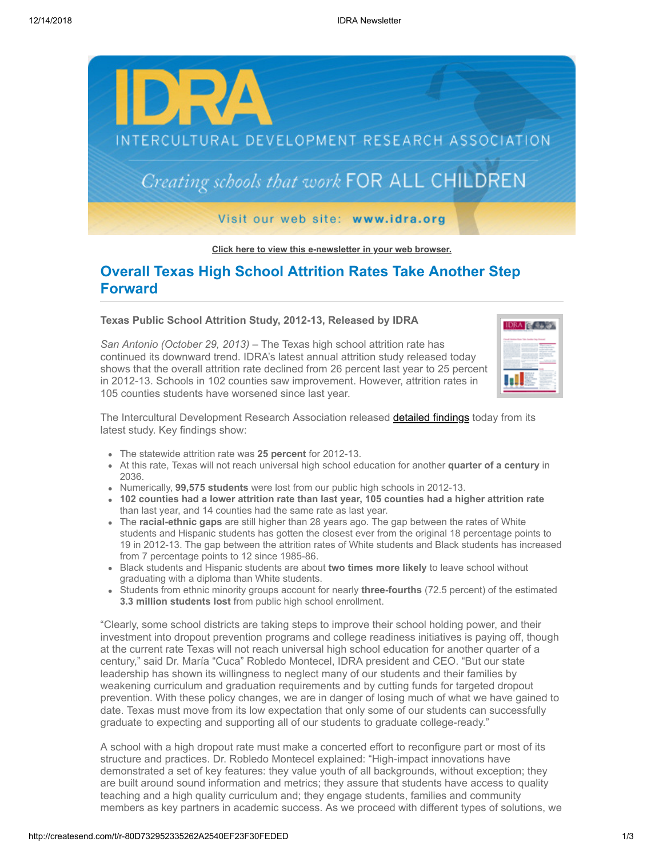

**[Click here to view this e-newsletter in your web browser.](http://newsletter.impulsedevelopment.com/t/r-e-ntihrz-l-r/)**

## **Overall Texas High School Attrition Rates Take Another Step Forward**

**Texas Public School Attrition Study, 2012-13, Released by IDRA**

*San Antonio (October 29, 2013)* – The Texas high school attrition rate has continued its downward trend. IDRA's latest annual attrition study released today shows that the overall attrition rate declined from 26 percent last year to 25 percent in 2012-13. Schools in 102 counties saw improvement. However, attrition rates in 105 counties students have worsened since last year.



The Intercultural Development Research Association released **detailed findings** today from its latest study. Key findings show:

- The statewide attrition rate was **25 percent** for 2012-13.
- At this rate, Texas will not reach universal high school education for another **quarter of a century** in 2036.
- Numerically, **99,575 students** were lost from our public high schools in 2012-13.
- **102 counties had a lower attrition rate than last year, 105 counties had a higher attrition rate** than last year, and 14 counties had the same rate as last year.
- The **racial-ethnic gaps** are still higher than 28 years ago. The gap between the rates of White students and Hispanic students has gotten the closest ever from the original 18 percentage points to 19 in 2012-13. The gap between the attrition rates of White students and Black students has increased from 7 percentage points to 12 since 1985-86.
- Black students and Hispanic students are about **two times more likely** to leave school without graduating with a diploma than White students.
- Students from ethnic minority groups account for nearly **three-fourths** (72.5 percent) of the estimated **3.3 million students lost** from public high school enrollment.

"Clearly, some school districts are taking steps to improve their school holding power, and their investment into dropout prevention programs and college readiness initiatives is paying off, though at the current rate Texas will not reach universal high school education for another quarter of a century," said Dr. María "Cuca" Robledo Montecel, IDRA president and CEO. "But our state leadership has shown its willingness to neglect many of our students and their families by weakening curriculum and graduation requirements and by cutting funds for targeted dropout prevention. With these policy changes, we are in danger of losing much of what we have gained to date. Texas must move from its low expectation that only some of our students can successfully graduate to expecting and supporting all of our students to graduate college-ready."

A school with a high dropout rate must make a concerted effort to reconfigure part or most of its structure and practices. Dr. Robledo Montecel explained: "High-impact innovations have demonstrated a set of key features: they value youth of all backgrounds, without exception; they are built around sound information and metrics; they assure that students have access to quality teaching and a high quality curriculum and; they engage students, families and community members as key partners in academic success. As we proceed with different types of solutions, we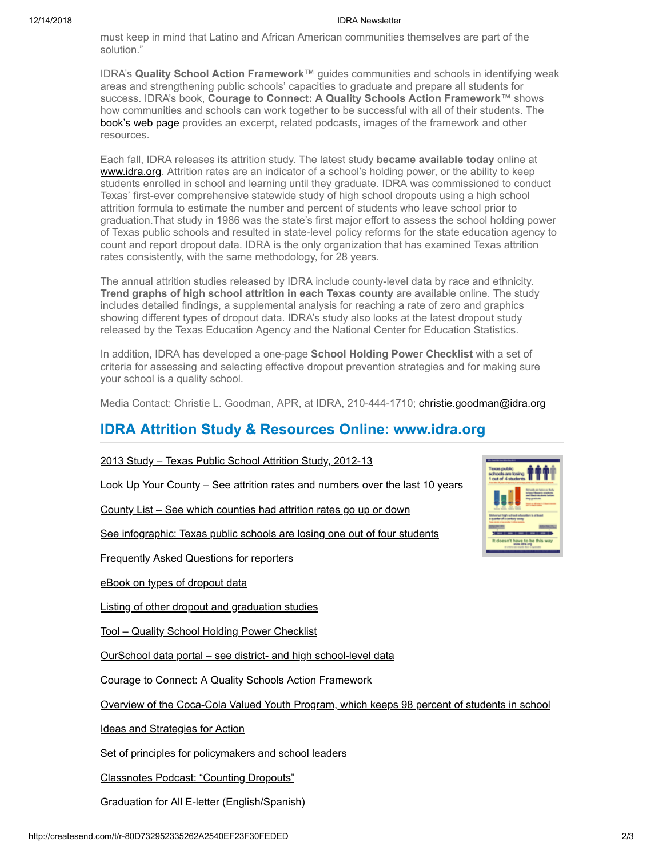must keep in mind that Latino and African American communities themselves are part of the solution."

IDRA's **Quality School Action Framework**™ guides communities and schools in identifying weak areas and strengthening public schools' capacities to graduate and prepare all students for success. IDRA's book, **Courage to Connect: A Quality Schools Action Framework**™ shows how communities and schools can work together to be successful with all of their students. The [book's web page](http://idra.createsend1.com/t/r-l-ntihrz-l-d/) provides an excerpt, related podcasts, images of the framework and other resources.

Each fall, IDRA releases its attrition study. The latest study **became available today** online at [www.idra.org](http://idra.createsend1.com/t/r-l-ntihrz-l-o/). Attrition rates are an indicator of a school's holding power, or the ability to keep students enrolled in school and learning until they graduate. IDRA was commissioned to conduct Texas' first-ever comprehensive statewide study of high school dropouts using a high school attrition formula to estimate the number and percent of students who leave school prior to graduation.That study in 1986 was the state's first major effort to assess the school holding power of Texas public schools and resulted in state-level policy reforms for the state education agency to count and report dropout data. IDRA is the only organization that has examined Texas attrition rates consistently, with the same methodology, for 28 years.

The annual attrition studies released by IDRA include county-level data by race and ethnicity. **Trend graphs of high school attrition in each Texas county** are available online. The study includes detailed findings, a supplemental analysis for reaching a rate of zero and graphics showing different types of dropout data. IDRA's study also looks at the latest dropout study released by the Texas Education Agency and the National Center for Education Statistics.

In addition, IDRA has developed a one-page **School Holding Power Checklist** with a set of criteria for assessing and selecting effective dropout prevention strategies and for making sure your school is a quality school.

Media Contact: Christie L. Goodman, APR, at IDRA, 210-444-1710; [christie.goodman@idra.org](mailto:christie.goodman@idra.org?subject=Texas%20Public%20School%20Attrition%20Study%2C%202012-13)

## **IDRA Attrition Study & Resources Online: www.idra.org**

## [2013 Study – Texas Public School Attrition Study, 2012-13](http://idra.createsend1.com/t/r-l-ntihrz-l-b/)

[Look Up Your County – See attrition rates and numbers over the last 10 years](http://idra.createsend1.com/t/r-l-ntihrz-l-n/)

[County List – See which counties had attrition rates go up or down](http://idra.createsend1.com/t/r-l-ntihrz-l-p/)

[See infographic: Texas public schools are losing one out of four students](http://idra.createsend1.com/t/r-l-ntihrz-l-x/)

[Frequently Asked Questions for reporters](http://idra.createsend1.com/t/r-l-ntihrz-l-m/)

[eBook on types of dropout data](http://idra.createsend1.com/t/r-l-ntihrz-l-c/)

[Listing of other dropout and graduation studies](http://idra.createsend1.com/t/r-l-ntihrz-l-q/)

[Tool – Quality School Holding Power Checklist](http://idra.createsend1.com/t/r-l-ntihrz-l-a/)

[OurSchool data portal – see district- and high school-level data](http://idra.createsend1.com/t/r-l-ntihrz-l-f/)

[Courage to Connect: A Quality Schools Action Framework](http://idra.createsend1.com/t/r-l-ntihrz-l-z/)

[Overview of the Coca-Cola Valued Youth Program, which keeps 98 percent of students in school](http://idra.createsend1.com/t/r-l-ntihrz-l-v/)

[Ideas and Strategies for Action](http://idra.createsend1.com/t/r-l-ntihrz-l-e/)

[Set of principles for policymakers and school leaders](http://idra.createsend1.com/t/r-l-ntihrz-l-s/)

[Classnotes Podcast: "Counting Dropouts"](http://idra.createsend1.com/t/r-l-ntihrz-l-g/)

[Graduation for All E-letter \(English/Spanish\)](http://idra.createsend1.com/t/r-l-ntihrz-l-w/)